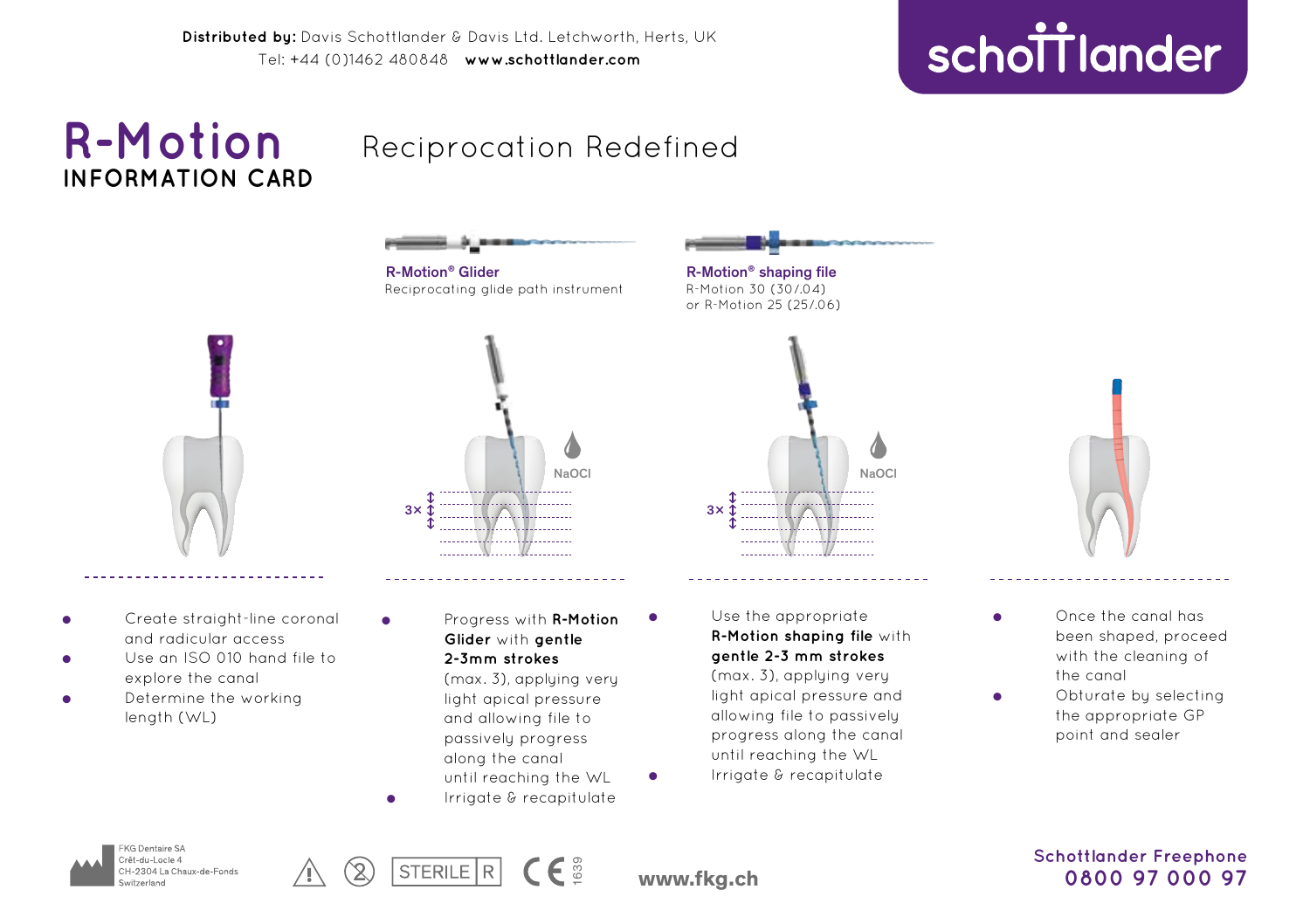**Distributed by:** Davis Schottlander & Davis Ltd. Letchworth, Herts, UK Tel: +44 (0)1462 480848 **www.schottlander.com**





Reciprocating motion (counterclockwise) **R-Motion® shaping file**<br> $R-Motion 30 (30/04)$ 



- **Verwenden Sie die Reichstanden aufgebung und der endführtigate & recapitulate** until reaching the WL  $\qquad \bullet$
- non **capitulate**<br>**R-Motion shaping file** with gentle 2-3 mm strokes (max. 3), applying very • Irrigate and recapitulate light apical pressure and o end allowing file to passively progress along the canal until reaching the WL v miniedening me we<br>WL ● Irrigate & recapitulate
- aOCl<sub>a</sub> Naomini amin'ny faritr'i Normandie, ao amin'ny faritr'i Normandie, ao amin'ny faritr'i Normandie, ao Frantsa.<br>Ny INSEE dia mampiasa ny kaodim-paositra 2008–2014. Ilay kaominina dia kaominina mpikambana amin'ny fari
	- **e** Once the canal has **C** point and sealer the curior ride<br>been shaped, proceed with the cleaning of the canal
	- Obturate by selecting the appropriate GP point and sealer







### **Schottlander Freephone 0800 97 000 97 000 97 MWW.fkg.ch**